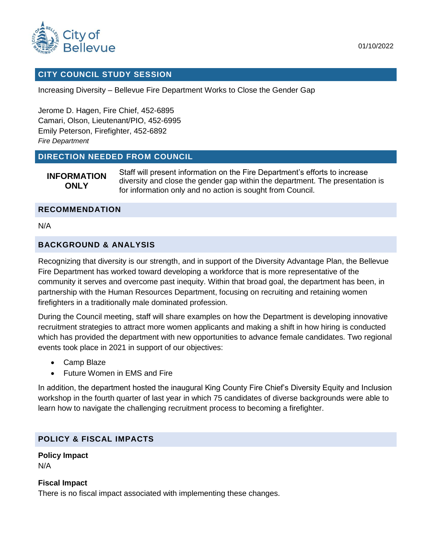

### **CITY COUNCIL STUDY SESSION**

Increasing Diversity – Bellevue Fire Department Works to Close the Gender Gap

Jerome D. Hagen, Fire Chief, 452-6895 Camari, Olson, Lieutenant/PIO, 452-6995 Emily Peterson, Firefighter, 452-6892 *Fire Department*

### **DIRECTION NEEDED FROM COUNCIL**

**INFORMATION ONLY** Staff will present information on the Fire Department's efforts to increase diversity and close the gender gap within the department. The presentation is for information only and no action is sought from Council.

#### **RECOMMENDATION**

N/A

## **BACKGROUND & ANALYSIS**

Recognizing that diversity is our strength, and in support of the Diversity Advantage Plan, the Bellevue Fire Department has worked toward developing a workforce that is more representative of the community it serves and overcome past inequity. Within that broad goal, the department has been, in partnership with the Human Resources Department, focusing on recruiting and retaining women firefighters in a traditionally male dominated profession.

During the Council meeting, staff will share examples on how the Department is developing innovative recruitment strategies to attract more women applicants and making a shift in how hiring is conducted which has provided the department with new opportunities to advance female candidates. Two regional events took place in 2021 in support of our objectives:

- Camp Blaze
- Future Women in EMS and Fire

In addition, the department hosted the inaugural King County Fire Chief's Diversity Equity and Inclusion workshop in the fourth quarter of last year in which 75 candidates of diverse backgrounds were able to learn how to navigate the challenging recruitment process to becoming a firefighter.

### **POLICY & FISCAL IMPACTS**

### **Policy Impact** N/A

### **Fiscal Impact**

There is no fiscal impact associated with implementing these changes.